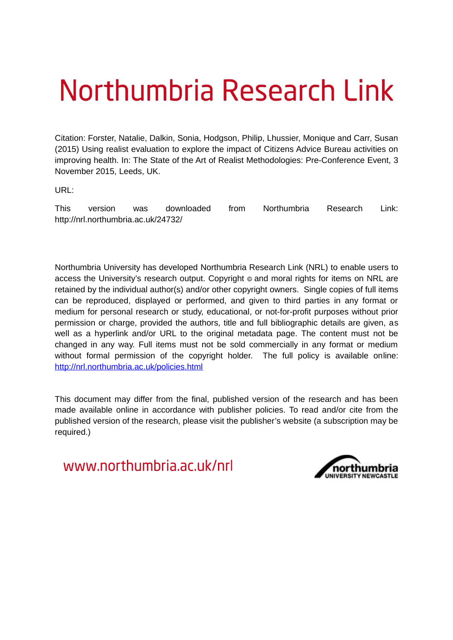## Northumbria Research Link

Citation: Forster, Natalie, Dalkin, Sonia, Hodgson, Philip, Lhussier, Monique and Carr, Susan (2015) Using realist evaluation to explore the impact of Citizens Advice Bureau activities on improving health. In: The State of the Art of Realist Methodologies: Pre-Conference Event, 3 November 2015, Leeds, UK.

URL:

This version was downloaded from Northumbria Research Link: http://nrl.northumbria.ac.uk/24732/

Northumbria University has developed Northumbria Research Link (NRL) to enable users to access the University's research output. Copyright  $\circ$  and moral rights for items on NRL are retained by the individual author(s) and/or other copyright owners. Single copies of full items can be reproduced, displayed or performed, and given to third parties in any format or medium for personal research or study, educational, or not-for-profit purposes without prior permission or charge, provided the authors, title and full bibliographic details are given, as well as a hyperlink and/or URL to the original metadata page. The content must not be changed in any way. Full items must not be sold commercially in any format or medium without formal permission of the copyright holder. The full policy is available online: <http://nrl.northumbria.ac.uk/policies.html>

This document may differ from the final, published version of the research and has been made available online in accordance with publisher policies. To read and/or cite from the published version of the research, please visit the publisher's website (a subscription may be required.)

www.northumbria.ac.uk/nrl